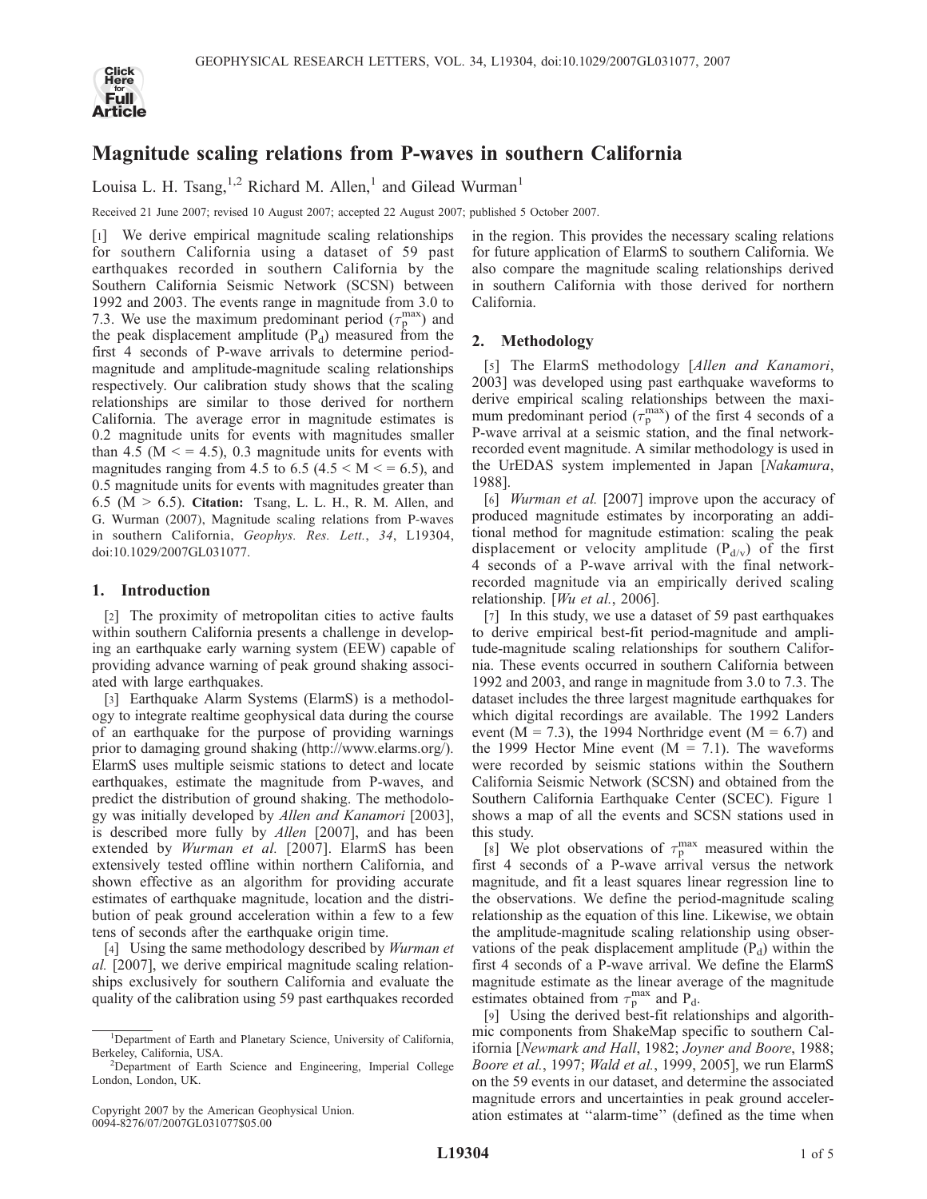

# Magnitude scaling relations from P-waves in southern California

Louisa L. H. Tsang,  $1,2$  Richard M. Allen,<sup>1</sup> and Gilead Wurman<sup>1</sup>

Received 21 June 2007; revised 10 August 2007; accepted 22 August 2007; published 5 October 2007.

[1] We derive empirical magnitude scaling relationships for southern California using a dataset of 59 past earthquakes recorded in southern California by the Southern California Seismic Network (SCSN) between 1992 and 2003. The events range in magnitude from 3.0 to 7.3. We use the maximum predominant period ( $\tau_p^{\text{max}}$ ) and the peak displacement amplitude  $(P_d)$  measured from the first 4 seconds of P-wave arrivals to determine periodmagnitude and amplitude-magnitude scaling relationships respectively. Our calibration study shows that the scaling relationships are similar to those derived for northern California. The average error in magnitude estimates is 0.2 magnitude units for events with magnitudes smaller than 4.5 ( $M \le 4.5$ ), 0.3 magnitude units for events with magnitudes ranging from 4.5 to 6.5 (4.5  $\times$  M  $\times$  = 6.5), and 0.5 magnitude units for events with magnitudes greater than  $6.5$  (M  $> 6.5$ ). Citation: Tsang, L. L. H., R. M. Allen, and G. Wurman (2007), Magnitude scaling relations from P-waves in southern California, Geophys. Res. Lett., 34, L19304, doi:10.1029/2007GL031077.

## 1. Introduction

[2] The proximity of metropolitan cities to active faults within southern California presents a challenge in developing an earthquake early warning system (EEW) capable of providing advance warning of peak ground shaking associated with large earthquakes.

[3] Earthquake Alarm Systems (ElarmS) is a methodology to integrate realtime geophysical data during the course of an earthquake for the purpose of providing warnings prior to damaging ground shaking (http://www.elarms.org/). ElarmS uses multiple seismic stations to detect and locate earthquakes, estimate the magnitude from P-waves, and predict the distribution of ground shaking. The methodology was initially developed by Allen and Kanamori [2003], is described more fully by Allen [2007], and has been extended by Wurman et al. [2007]. ElarmS has been extensively tested offline within northern California, and shown effective as an algorithm for providing accurate estimates of earthquake magnitude, location and the distribution of peak ground acceleration within a few to a few tens of seconds after the earthquake origin time.

[4] Using the same methodology described by *Wurman et* al. [2007], we derive empirical magnitude scaling relationships exclusively for southern California and evaluate the quality of the calibration using 59 past earthquakes recorded in the region. This provides the necessary scaling relations for future application of ElarmS to southern California. We also compare the magnitude scaling relationships derived in southern California with those derived for northern California.

# 2. Methodology

[5] The ElarmS methodology [Allen and Kanamori, 2003] was developed using past earthquake waveforms to derive empirical scaling relationships between the maximum predominant period  $(\tau_p^{\text{max}})$  of the first 4 seconds of a P-wave arrival at a seismic station, and the final networkrecorded event magnitude. A similar methodology is used in the UrEDAS system implemented in Japan [Nakamura, 1988].

[6] Wurman et al. [2007] improve upon the accuracy of produced magnitude estimates by incorporating an additional method for magnitude estimation: scaling the peak displacement or velocity amplitude  $(P_{d/v})$  of the first 4 seconds of a P-wave arrival with the final networkrecorded magnitude via an empirically derived scaling relationship. [Wu et al., 2006].

[7] In this study, we use a dataset of 59 past earthquakes to derive empirical best-fit period-magnitude and amplitude-magnitude scaling relationships for southern California. These events occurred in southern California between 1992 and 2003, and range in magnitude from 3.0 to 7.3. The dataset includes the three largest magnitude earthquakes for which digital recordings are available. The 1992 Landers event ( $M = 7.3$ ), the 1994 Northridge event ( $M = 6.7$ ) and the 1999 Hector Mine event  $(M = 7.1)$ . The waveforms were recorded by seismic stations within the Southern California Seismic Network (SCSN) and obtained from the Southern California Earthquake Center (SCEC). Figure 1 shows a map of all the events and SCSN stations used in this study.

[8] We plot observations of  $\tau_p^{\text{max}}$  measured within the first 4 seconds of a P-wave arrival versus the network magnitude, and fit a least squares linear regression line to the observations. We define the period-magnitude scaling relationship as the equation of this line. Likewise, we obtain the amplitude-magnitude scaling relationship using observations of the peak displacement amplitude  $(P_d)$  within the first 4 seconds of a P-wave arrival. We define the ElarmS magnitude estimate as the linear average of the magnitude estimates obtained from  $\tau_p^{\text{max}}$  and P<sub>d</sub>.

[9] Using the derived best-fit relationships and algorithmic components from ShakeMap specific to southern California [Newmark and Hall, 1982; Joyner and Boore, 1988; Boore et al., 1997; Wald et al., 1999, 2005], we run ElarmS on the 59 events in our dataset, and determine the associated magnitude errors and uncertainties in peak ground acceleration estimates at ''alarm-time'' (defined as the time when

<sup>&</sup>lt;sup>1</sup>Department of Earth and Planetary Science, University of California, Berkeley, California, USA. <sup>2</sup>

<sup>&</sup>lt;sup>2</sup>Department of Earth Science and Engineering, Imperial College London, London, UK.

Copyright 2007 by the American Geophysical Union. 0094-8276/07/2007GL031077\$05.00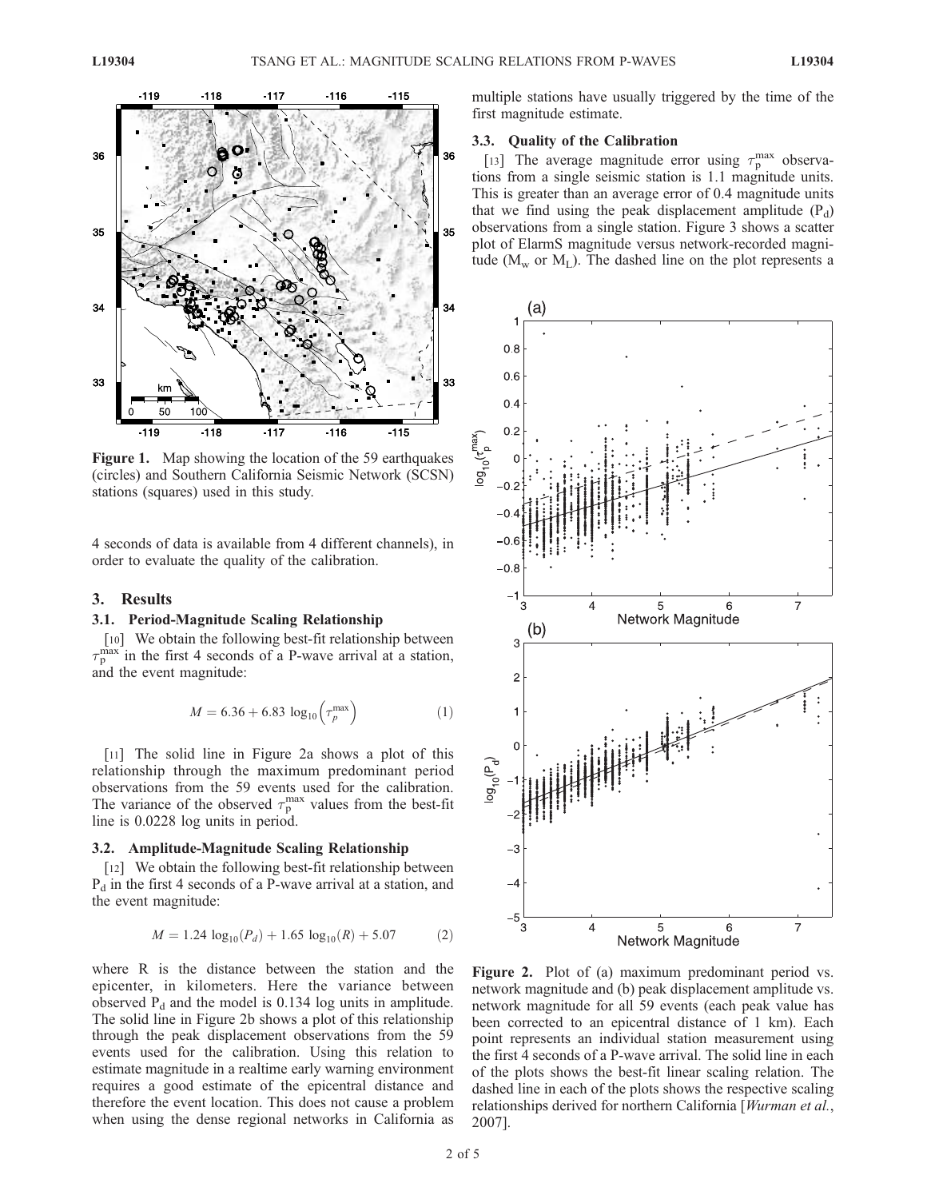

Figure 1. Map showing the location of the 59 earthquakes (circles) and Southern California Seismic Network (SCSN) stations (squares) used in this study.

4 seconds of data is available from 4 different channels), in order to evaluate the quality of the calibration.

### 3. Results

#### 3.1. Period-Magnitude Scaling Relationship

[10] We obtain the following best-fit relationship between  $\tau_{\rm p}^{\rm max}$  in the first 4 seconds of a P-wave arrival at a station, and the event magnitude:

$$
M = 6.36 + 6.83 \log_{10} \left( \tau_p^{\text{max}} \right) \tag{1}
$$

[11] The solid line in Figure 2a shows a plot of this relationship through the maximum predominant period observations from the 59 events used for the calibration. The variance of the observed  $\tau_p^{\text{max}}$  values from the best-fit line is 0.0228 log units in period.

#### 3.2. Amplitude-Magnitude Scaling Relationship

[12] We obtain the following best-fit relationship between  $P_d$  in the first 4 seconds of a P-wave arrival at a station, and the event magnitude:

$$
M = 1.24 \log_{10}(P_d) + 1.65 \log_{10}(R) + 5.07
$$
 (2)

where R is the distance between the station and the epicenter, in kilometers. Here the variance between observed  $P_d$  and the model is 0.134 log units in amplitude. The solid line in Figure 2b shows a plot of this relationship through the peak displacement observations from the 59 events used for the calibration. Using this relation to estimate magnitude in a realtime early warning environment requires a good estimate of the epicentral distance and therefore the event location. This does not cause a problem when using the dense regional networks in California as multiple stations have usually triggered by the time of the first magnitude estimate.

#### 3.3. Quality of the Calibration

[13] The average magnitude error using  $\tau_{p}^{\max}$  observations from a single seismic station is 1.1 magnitude units. This is greater than an average error of 0.4 magnitude units that we find using the peak displacement amplitude  $(P_d)$ observations from a single station. Figure 3 shows a scatter plot of ElarmS magnitude versus network-recorded magnitude ( $M_{\rm w}$  or  $M_{\rm L}$ ). The dashed line on the plot represents a



Figure 2. Plot of (a) maximum predominant period vs. network magnitude and (b) peak displacement amplitude vs. network magnitude for all 59 events (each peak value has been corrected to an epicentral distance of 1 km). Each point represents an individual station measurement using the first 4 seconds of a P-wave arrival. The solid line in each of the plots shows the best-fit linear scaling relation. The dashed line in each of the plots shows the respective scaling relationships derived for northern California [Wurman et al., 2007].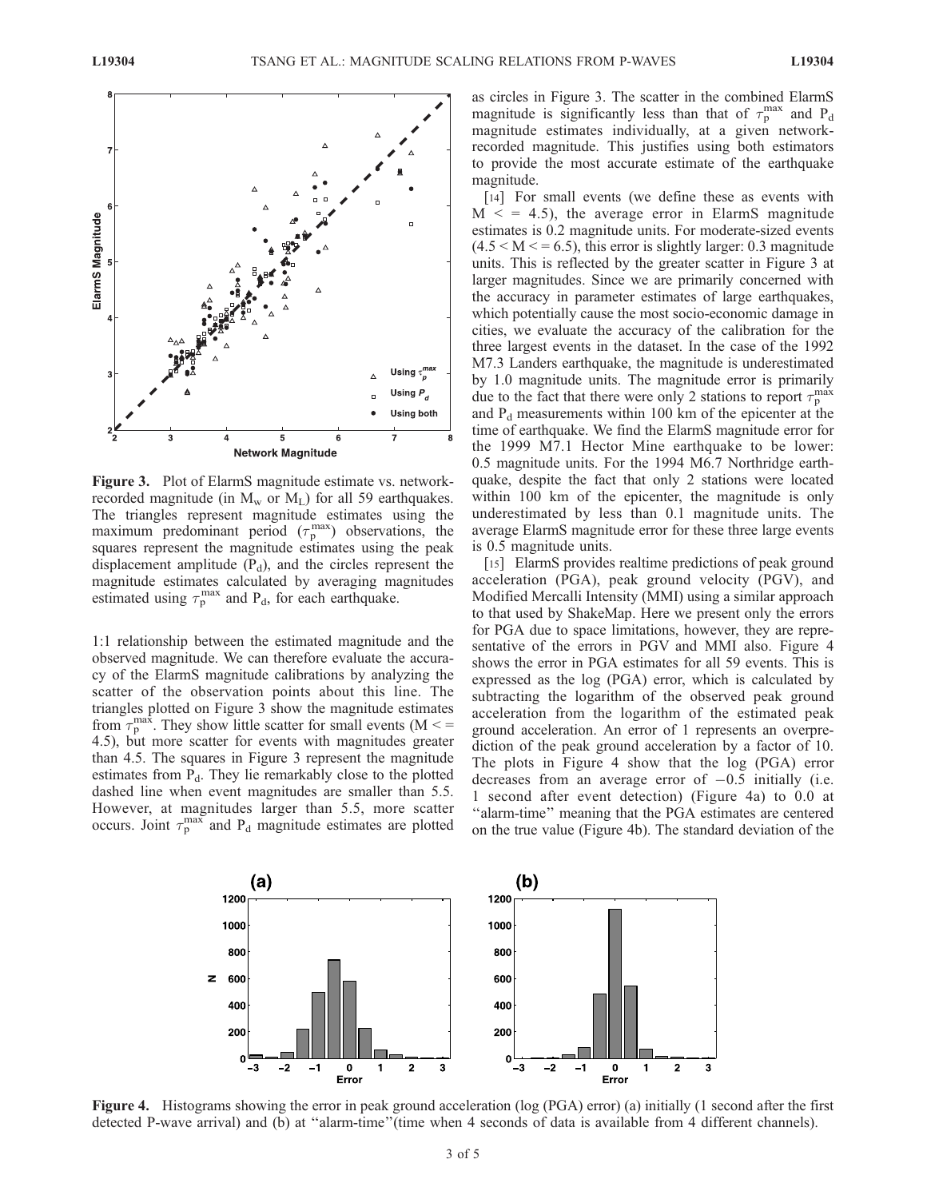

Figure 3. Plot of ElarmS magnitude estimate vs. networkrecorded magnitude (in  $M_w$  or  $M_L$ ) for all 59 earthquakes. The triangles represent magnitude estimates using the maximum predominant period  $(\tau_p^{\text{max}})$  observations, the squares represent the magnitude estimates using the peak displacement amplitude  $(P_d)$ , and the circles represent the magnitude estimates calculated by averaging magnitudes estimated using  $\tau_p^{\text{max}}$  and P<sub>d</sub>, for each earthquake.

1:1 relationship between the estimated magnitude and the observed magnitude. We can therefore evaluate the accuracy of the ElarmS magnitude calibrations by analyzing the scatter of the observation points about this line. The triangles plotted on Figure 3 show the magnitude estimates from  $\tau_p^{\text{max}}$ . They show little scatter for small events (M < = 4.5), but more scatter for events with magnitudes greater than 4.5. The squares in Figure 3 represent the magnitude estimates from  $P_d$ . They lie remarkably close to the plotted dashed line when event magnitudes are smaller than 5.5. However, at magnitudes larger than 5.5, more scatter occurs. Joint  $\tau_p^{\text{max}}$  and P<sub>d</sub> magnitude estimates are plotted

as circles in Figure 3. The scatter in the combined ElarmS magnitude is significantly less than that of  $\tau_p^{\text{max}}$  and P<sub>d</sub> magnitude estimates individually, at a given networkrecorded magnitude. This justifies using both estimators to provide the most accurate estimate of the earthquake magnitude.

[14] For small events (we define these as events with  $M \leq 4.5$ , the average error in ElarmS magnitude estimates is 0.2 magnitude units. For moderate-sized events  $(4.5 < M < 6.5)$ , this error is slightly larger: 0.3 magnitude units. This is reflected by the greater scatter in Figure 3 at larger magnitudes. Since we are primarily concerned with the accuracy in parameter estimates of large earthquakes, which potentially cause the most socio-economic damage in cities, we evaluate the accuracy of the calibration for the three largest events in the dataset. In the case of the 1992 M7.3 Landers earthquake, the magnitude is underestimated by 1.0 magnitude units. The magnitude error is primarily due to the fact that there were only 2 stations to report  $\tau_p^{\text{max}}$ and  $P_d$  measurements within 100 km of the epicenter at the time of earthquake. We find the ElarmS magnitude error for the 1999 M7.1 Hector Mine earthquake to be lower: 0.5 magnitude units. For the 1994 M6.7 Northridge earthquake, despite the fact that only 2 stations were located within 100 km of the epicenter, the magnitude is only underestimated by less than 0.1 magnitude units. The average ElarmS magnitude error for these three large events is 0.5 magnitude units.

[15] ElarmS provides realtime predictions of peak ground acceleration (PGA), peak ground velocity (PGV), and Modified Mercalli Intensity (MMI) using a similar approach to that used by ShakeMap. Here we present only the errors for PGA due to space limitations, however, they are representative of the errors in PGV and MMI also. Figure 4 shows the error in PGA estimates for all 59 events. This is expressed as the log (PGA) error, which is calculated by subtracting the logarithm of the observed peak ground acceleration from the logarithm of the estimated peak ground acceleration. An error of 1 represents an overprediction of the peak ground acceleration by a factor of 10. The plots in Figure 4 show that the log (PGA) error decreases from an average error of  $-0.5$  initially (i.e. 1 second after event detection) (Figure 4a) to 0.0 at "alarm-time" meaning that the PGA estimates are centered on the true value (Figure 4b). The standard deviation of the



Figure 4. Histograms showing the error in peak ground acceleration (log (PGA) error) (a) initially (1 second after the first detected P-wave arrival) and (b) at ''alarm-time''(time when 4 seconds of data is available from 4 different channels).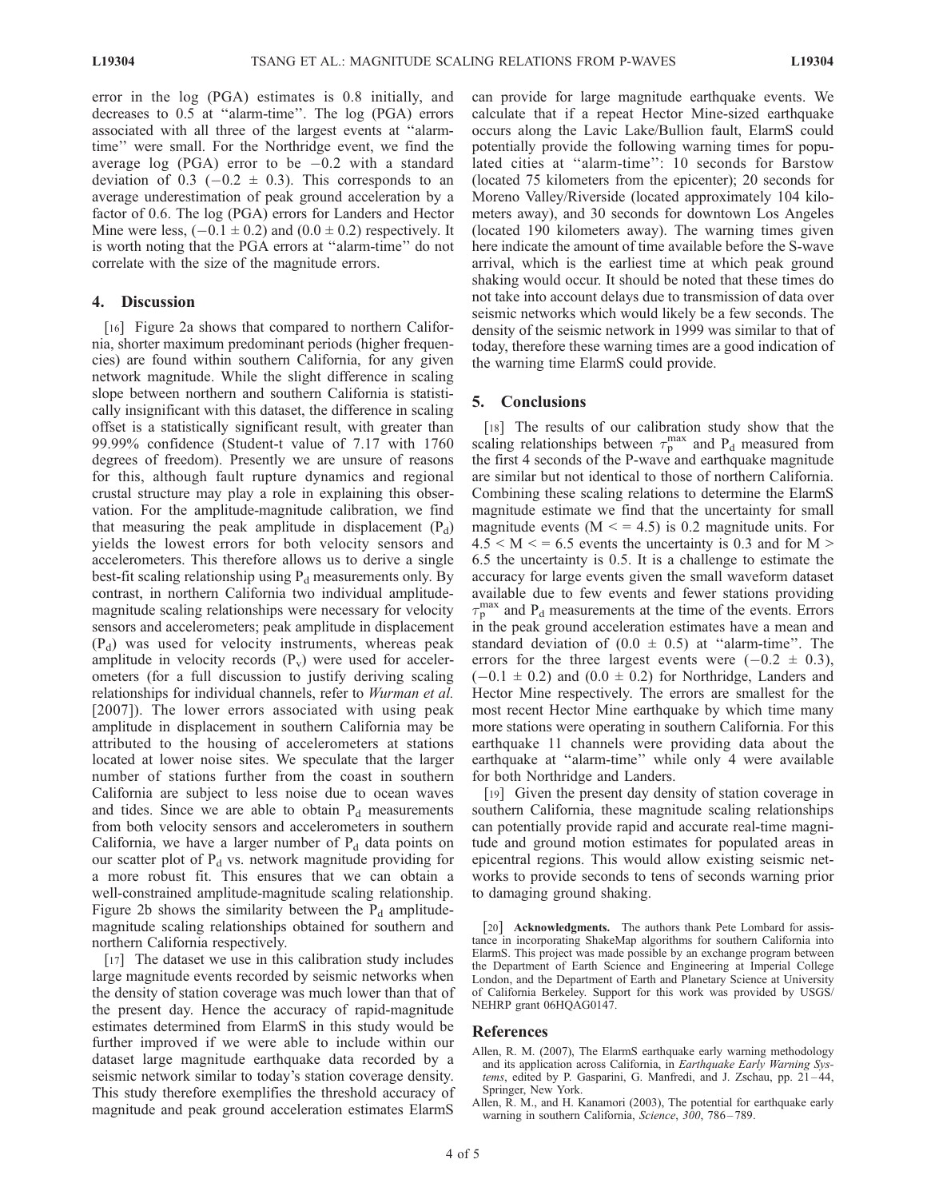error in the log (PGA) estimates is 0.8 initially, and decreases to 0.5 at ''alarm-time''. The log (PGA) errors associated with all three of the largest events at ''alarmtime'' were small. For the Northridge event, we find the average log (PGA) error to be  $-0.2$  with a standard deviation of 0.3 ( $-0.2 \pm 0.3$ ). This corresponds to an average underestimation of peak ground acceleration by a factor of 0.6. The log (PGA) errors for Landers and Hector Mine were less,  $(-0.1 \pm 0.2)$  and  $(0.0 \pm 0.2)$  respectively. It is worth noting that the PGA errors at ''alarm-time'' do not correlate with the size of the magnitude errors.

## 4. Discussion

[16] Figure 2a shows that compared to northern California, shorter maximum predominant periods (higher frequencies) are found within southern California, for any given network magnitude. While the slight difference in scaling slope between northern and southern California is statistically insignificant with this dataset, the difference in scaling offset is a statistically significant result, with greater than 99.99% confidence (Student-t value of 7.17 with 1760 degrees of freedom). Presently we are unsure of reasons for this, although fault rupture dynamics and regional crustal structure may play a role in explaining this observation. For the amplitude-magnitude calibration, we find that measuring the peak amplitude in displacement  $(P_d)$ yields the lowest errors for both velocity sensors and accelerometers. This therefore allows us to derive a single best-fit scaling relationship using  $P_d$  measurements only. By contrast, in northern California two individual amplitudemagnitude scaling relationships were necessary for velocity sensors and accelerometers; peak amplitude in displacement  $(P_d)$  was used for velocity instruments, whereas peak amplitude in velocity records  $(P_v)$  were used for accelerometers (for a full discussion to justify deriving scaling relationships for individual channels, refer to *Wurman et al.* [2007]). The lower errors associated with using peak amplitude in displacement in southern California may be attributed to the housing of accelerometers at stations located at lower noise sites. We speculate that the larger number of stations further from the coast in southern California are subject to less noise due to ocean waves and tides. Since we are able to obtain  $P_d$  measurements from both velocity sensors and accelerometers in southern California, we have a larger number of  $P_d$  data points on our scatter plot of  $P_d$  vs. network magnitude providing for a more robust fit. This ensures that we can obtain a well-constrained amplitude-magnitude scaling relationship. Figure 2b shows the similarity between the  $P_d$  amplitudemagnitude scaling relationships obtained for southern and northern California respectively.

[17] The dataset we use in this calibration study includes large magnitude events recorded by seismic networks when the density of station coverage was much lower than that of the present day. Hence the accuracy of rapid-magnitude estimates determined from ElarmS in this study would be further improved if we were able to include within our dataset large magnitude earthquake data recorded by a seismic network similar to today's station coverage density. This study therefore exemplifies the threshold accuracy of magnitude and peak ground acceleration estimates ElarmS

can provide for large magnitude earthquake events. We calculate that if a repeat Hector Mine-sized earthquake occurs along the Lavic Lake/Bullion fault, ElarmS could potentially provide the following warning times for populated cities at ''alarm-time'': 10 seconds for Barstow (located 75 kilometers from the epicenter); 20 seconds for Moreno Valley/Riverside (located approximately 104 kilometers away), and 30 seconds for downtown Los Angeles (located 190 kilometers away). The warning times given here indicate the amount of time available before the S-wave arrival, which is the earliest time at which peak ground shaking would occur. It should be noted that these times do not take into account delays due to transmission of data over seismic networks which would likely be a few seconds. The density of the seismic network in 1999 was similar to that of today, therefore these warning times are a good indication of the warning time ElarmS could provide.

# 5. Conclusions

[18] The results of our calibration study show that the scaling relationships between  $\tau_p^{\text{max}}$  and  $P_d$  measured from the first 4 seconds of the P-wave and earthquake magnitude are similar but not identical to those of northern California. Combining these scaling relations to determine the ElarmS magnitude estimate we find that the uncertainty for small magnitude events ( $M \le 4.5$ ) is 0.2 magnitude units. For  $4.5 < M < 6.5$  events the uncertainty is 0.3 and for M  $>$ 6.5 the uncertainty is 0.5. It is a challenge to estimate the accuracy for large events given the small waveform dataset available due to few events and fewer stations providing  $\tau_{\rm p}^{\rm max}$  and P<sub>d</sub> measurements at the time of the events. Errors in the peak ground acceleration estimates have a mean and standard deviation of  $(0.0 \pm 0.5)$  at "alarm-time". The errors for the three largest events were  $(-0.2 \pm 0.3)$ ,  $(-0.1 \pm 0.2)$  and  $(0.0 \pm 0.2)$  for Northridge, Landers and Hector Mine respectively. The errors are smallest for the most recent Hector Mine earthquake by which time many more stations were operating in southern California. For this earthquake 11 channels were providing data about the earthquake at ''alarm-time'' while only 4 were available for both Northridge and Landers.

[19] Given the present day density of station coverage in southern California, these magnitude scaling relationships can potentially provide rapid and accurate real-time magnitude and ground motion estimates for populated areas in epicentral regions. This would allow existing seismic networks to provide seconds to tens of seconds warning prior to damaging ground shaking.

[20] Acknowledgments. The authors thank Pete Lombard for assis-tance in incorporating ShakeMap algorithms for southern California into ElarmS. This project was made possible by an exchange program between the Department of Earth Science and Engineering at Imperial College London, and the Department of Earth and Planetary Science at University of California Berkeley. Support for this work was provided by USGS/ NEHRP grant 06HQAG0147.

#### References

- Allen, R. M. (2007), The ElarmS earthquake early warning methodology and its application across California, in Earthquake Early Warning Systems, edited by P. Gasparini, G. Manfredi, and J. Zschau, pp. 21-44, Springer, New York.
- Allen, R. M., and H. Kanamori (2003), The potential for earthquake early warning in southern California, Science, 300, 786-789.